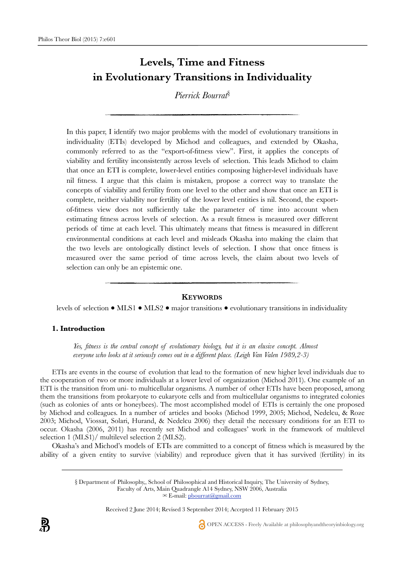# **Levels, Time and Fitness in Evolutionary Transitions in Individuality**

*Pierrick Bourrat*§

In this paper, I identify two major problems with the model of evolutionary transitions in individuality (ETIs) developed by Michod and colleagues, and extended by Okasha, commonly referred to as the "export-of-fitness view". First, it applies the concepts of viability and fertility inconsistently across levels of selection. This leads Michod to claim that once an ETI is complete, lower-level entities composing higher-level individuals have nil fitness. I argue that this claim is mistaken, propose a correct way to translate the concepts of viability and fertility from one level to the other and show that once an ETI is complete, neither viability nor fertility of the lower level entities is nil. Second, the exportof-fitness view does not sufficiently take the parameter of time into account when estimating fitness across levels of selection. As a result fitness is measured over different periods of time at each level. This ultimately means that fitness is measured in different environmental conditions at each level and misleads Okasha into making the claim that the two levels are ontologically distinct levels of selection. I show that once fitness is measured over the same period of time across levels, the claim about two levels of selection can only be an epistemic one.

## **KEYWORDS**

levels of selection ● MLS1 ● MLS2 ● major transitions ● evolutionary transitions in individuality

#### **1. Introduction**

*Yes, fitness is the central concept of evolutionary biology, but it is an elusive concept. Almost everyone who looks at it seriously comes out in a different place. (Leigh Van Valen 1989,2-3)*

ETIs are events in the course of evolution that lead to the formation of new higher level individuals due to the cooperation of two or more individuals at a lower level of organization (Michod 2011). One example of an ETI is the transition from uni- to multicellular organisms. A number of other ETIs have been proposed, among them the transitions from prokaryote to eukaryote cells and from multicellular organisms to integrated colonies (such as colonies of ants or honeybees). The most accomplished model of ETIs is certainly the one proposed by Michod and colleagues. In a number of articles and books (Michod 1999, 2005; Michod, Nedelcu, & Roze 2003; Michod, Viossat, Solari, Hurand, & Nedelcu 2006) they detail the necessary conditions for an ETI to occur. Okasha (2006, 2011) has recently set Michod and colleagues' work in the framework of multilevel selection 1 (MLS1)/ multilevel selection 2 (MLS2).

Okasha's and Michod's models of ETIs are committed to a concept of fitness which is measured by the ability of a given entity to survive (viability) and reproduce given that it has survived (fertility) in its

> § Department of Philosophy,, School of Philosophical and Historical Inquiry, The University of Sydney, Faculty of Arts, Main Quadrangle A14 Sydney, NSW 2006, Australia  $\mathbb{E}$  E-mail: [pbourrat@gmail.com](mailto:pbourrat@gmai.com)

#### Received 2 June 2014; Revised 3 September 2014; Accepted 11 February 2015

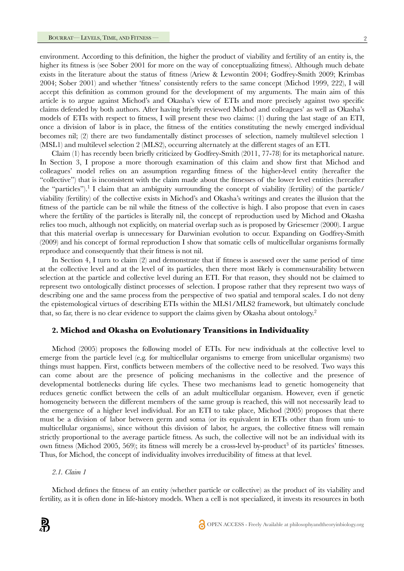environment. According to this definition, the higher the product of viability and fertility of an entity is, the higher its fitness is (see Sober 2001 for more on the way of conceptualizing fitness). Although much debate exists in the literature about the status of fitness (Ariew & Lewontin 2004; Godfrey-Smith 2009; Krimbas 2004; Sober 2001) and whether 'fitness' consistently refers to the same concept (Michod 1999, 222), I will accept this definition as common ground for the development of my arguments. The main aim of this article is to argue against Michod's and Okasha's view of ETIs and more precisely against two specific claims defended by both authors. After having briefly reviewed Michod and colleagues' as well as Okasha's models of ETIs with respect to fitness, I will present these two claims: (1) during the last stage of an ETI, once a division of labor is in place, the fitness of the entities constituting the newly emerged individual becomes nil; (2) there are two fundamentally distinct processes of selection, namely multilevel selection 1 (MSL1) and multilevel selection 2 (MLS2), occurring alternately at the different stages of an ETI.

Claim (1) has recently been briefly criticized by Godfrey-Smith (2011, 77-78) for its metaphorical nature. In Section 3, I propose a more thorough examination of this claim and show first that Michod and colleagues' model relies on an assumption regarding fitness of the higher-level entity (hereafter the "collective") that is inconsistent with the claim made about the fitnesses of the lower level entities (hereafter the "particles").<sup>1</sup> I claim that an ambiguity surrounding the concept of viability (fertility) of the particle/ viability (fertility) of the collective exists in Michod's and Okasha's writings and creates the illusion that the fitness of the particle can be nil while the fitness of the collective is high. I also propose that even in cases where the fertility of the particles is literally nil, the concept of reproduction used by Michod and Okasha relies too much, although not explicitly, on material overlap such as is proposed by Griesemer (2000). I argue that this material overlap is unnecessary for Darwinian evolution to occur. Expanding on Godfrey-Smith (2009) and his concept of formal reproduction I show that somatic cells of multicellular organisms formally reproduce and consequently that their fitness is not nil.

In Section 4, I turn to claim (2) and demonstrate that if fitness is assessed over the same period of time at the collective level and at the level of its particles, then there most likely is commensurability between selection at the particle and collective level during an ETI. For that reason, they should not be claimed to represent two ontologically distinct processes of selection. I propose rather that they represent two ways of describing one and the same process from the perspective of two spatial and temporal scales. I do not deny the epistemological virtues of describing ETIs within the MLS1/MLS2 framework, but ultimately conclude that, so far, there is no clear evidence to support the claims given by Okasha about ontology.2

## **2. Michod and Okasha on Evolutionary Transitions in Individuality**

Michod (2005) proposes the following model of ETIs. For new individuals at the collective level to emerge from the particle level (e.g. for multicellular organisms to emerge from unicellular organisms) two things must happen. First, conflicts between members of the collective need to be resolved. Two ways this can come about are the presence of policing mechanisms in the collective and the presence of developmental bottlenecks during life cycles. These two mechanisms lead to genetic homogeneity that reduces genetic conflict between the cells of an adult multicellular organism. However, even if genetic homogeneity between the different members of the same group is reached, this will not necessarily lead to the emergence of a higher level individual. For an ETI to take place, Michod (2005) proposes that there must be a division of labor between germ and soma (or its equivalent in ETIs other than from uni- to multicellular organisms), since without this division of labor, he argues, the collective fitness will remain strictly proportional to the average particle fitness. As such, the collective will not be an individual with its own fitness (Michod 2005, 569); its fitness will merely be a cross-level by-product<sup>3</sup> of its particles' fitnesses. Thus, for Michod, the concept of individuality involves irreducibility of fitness at that level.

## *2.1. Claim 1*

Michod defines the fitness of an entity (whether particle or collective) as the product of its viability and fertility, as it is often done in life-history models. When a cell is not specialized, it invests its resources in both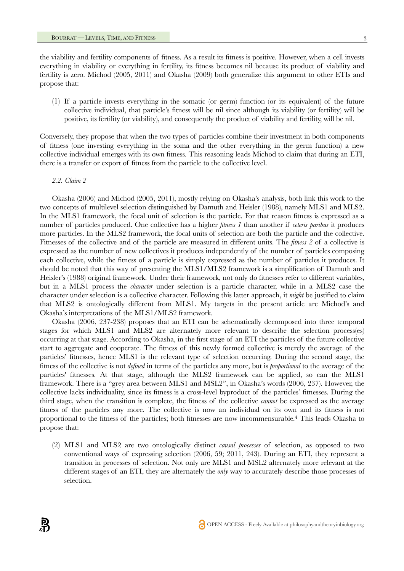the viability and fertility components of fitness. As a result its fitness is positive. However, when a cell invests everything in viability or everything in fertility, its fitness becomes nil because its product of viability and fertility is zero. Michod (2005, 2011) and Okasha (2009) both generalize this argument to other ETIs and propose that:

(1) If a particle invests everything in the somatic (or germ) function (or its equivalent) of the future collective individual, that particle's fitness will be nil since although its viability (or fertility) will be positive, its fertility (or viability), and consequently the product of viability and fertility, will be nil.

Conversely, they propose that when the two types of particles combine their investment in both components of fitness (one investing everything in the soma and the other everything in the germ function) a new collective individual emerges with its own fitness. This reasoning leads Michod to claim that during an ETI, there is a transfer or export of fitness from the particle to the collective level.

#### *2.2. Claim 2*

Okasha (2006) and Michod (2005, 2011), mostly relying on Okasha's analysis, both link this work to the two concepts of multilevel selection distinguished by Damuth and Heisler (1988), namely MLS1 and MLS2. In the MLS1 framework, the focal unit of selection is the particle. For that reason fitness is expressed as a number of particles produced. One collective has a higher *fitness 1* than another if *ceteris paribus* it produces more particles. In the MLS2 framework, the focal units of selection are both the particle and the collective. Fitnesses of the collective and of the particle are measured in different units. The *fitness 2* of a collective is expressed as the number of new collectives it produces independently of the number of particles composing each collective, while the fitness of a particle is simply expressed as the number of particles it produces. It should be noted that this way of presenting the MLS1/MLS2 framework is a simplification of Damuth and Heisler's (1988) original framework. Under their framework, not only do fitnesses refer to different variables, but in a MLS1 process the *character* under selection is a particle character, while in a MLS2 case the character under selection is a collective character. Following this latter approach, it *might* be justified to claim that MLS2 is ontologically different from MLS1. My targets in the present article are Michod's and Okasha's interpretations of the MLS1/MLS2 framework.

Okasha (2006, 237-238) proposes that an ETI can be schematically decomposed into three temporal stages for which MLS1 and MLS2 are alternately more relevant to describe the selection process(es) occurring at that stage. According to Okasha, in the first stage of an ETI the particles of the future collective start to aggregate and cooperate. The fitness of this newly formed collective is merely the average of the particles' fitnesses, hence MLS1 is the relevant type of selection occurring. During the second stage, the fitness of the collective is not *defined* in terms of the particles any more, but is *proportional* to the average of the particles' fitnesses. At that stage, although the MLS2 framework can be applied, so can the MLS1 framework. There is a "grey area between MLS1 and MSL2", in Okasha's words (2006, 237). However, the collective lacks individuality, since its fitness is a cross-level byproduct of the particles' fitnesses. During the third stage, when the transition is complete, the fitness of the collective *cannot* be expressed as the average fitness of the particles any more. The collective is now an individual on its own and its fitness is not proportional to the fitness of the particles; both fitnesses are now incommensurable.<sup>4</sup> This leads Okasha to propose that:

(2) MLS1 and MLS2 are two ontologically distinct *causal processes* of selection, as opposed to two conventional ways of expressing selection (2006, 59; 2011, 243). During an ETI, they represent a transition in processes of selection. Not only are MLS1 and MSL2 alternately more relevant at the different stages of an ETI, they are alternately the *only* way to accurately describe those processes of selection.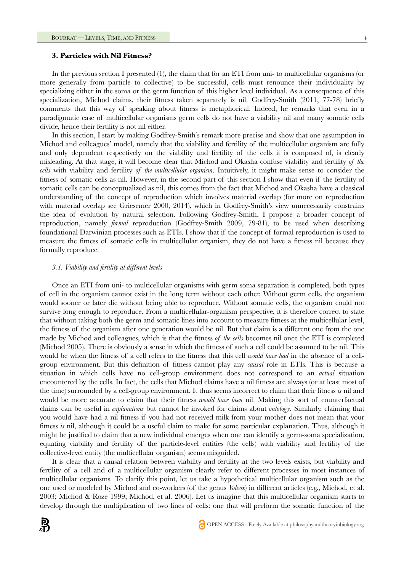## **3. Particles with Nil Fitness?**

In the previous section I presented (1), the claim that for an ETI from uni- to multicellular organisms (or more generally from particle to collective) to be successful, cells must renounce their individuality by specializing either in the soma or the germ function of this higher level individual. As a consequence of this specialization, Michod claims, their fitness taken separately is nil. Godfrey-Smith (2011, 77-78) briefly comments that this way of speaking about fitness is metaphorical. Indeed, he remarks that even in a paradigmatic case of multicellular organisms germ cells do not have a viability nil and many somatic cells divide, hence their fertility is not nil either.

In this section, I start by making Godfrey-Smith's remark more precise and show that one assumption in Michod and colleagues' model, namely that the viability and fertility of the multicellular organism are fully and only dependent respectively on the viability and fertility of the cells it is composed of, is clearly misleading. At that stage, it will become clear that Michod and Okasha confuse viability and fertility *of the cells* with viability and fertility *of the multicellular organism*. Intuitively, it might make sense to consider the fitness of somatic cells as nil. However, in the second part of this section I show that even if the fertility of somatic cells can be conceptualized as nil, this comes from the fact that Michod and Okasha have a classical understanding of the concept of reproduction which involves material overlap (for more on reproduction with material overlap see Griesemer 2000, 2014), which in Godfrey-Smith's view unnecessarily constrains the idea of evolution by natural selection. Following Godfrey-Smith, I propose a broader concept of reproduction, namely *formal* reproduction (Godfrey-Smith 2009, 79-81), to be used when describing foundational Darwinian processes such as ETIs. I show that if the concept of formal reproduction is used to measure the fitness of somatic cells in multicellular organism, they do not have a fitness nil because they formally reproduce.

#### *3.1. Viability and fertility at different levels*

Once an ETI from uni- to multicellular organisms with germ soma separation is completed, both types of cell in the organism cannot exist in the long term without each other. Without germ cells, the organism would sooner or later die without being able to reproduce. Without somatic cells, the organism could not survive long enough to reproduce. From a multicellular-organism perspective, it is therefore correct to state that without taking both the germ and somatic lines into account to measure fitness at the multicellular level, the fitness of the organism after one generation would be nil. But that claim is a different one from the one made by Michod and colleagues, which is that the fitness *of the cells* becomes nil once the ETI is completed (Michod 2005). There is obviously a sense in which the fitness of such a cell could be assumed to be nil. This would be when the fitness of a cell refers to the fitness that this cell *would have had* in the absence of a cellgroup environment. But this definition of fitness cannot play any *causal* role in ETIs. This is because a situation in which cells have no cell-group environment does not correspond to an *actual* situation encountered by the cells. In fact, the cells that Michod claims have a nil fitness are always (or at least most of the time) surrounded by a cell-group environment. It thus seems incorrect to claim that their fitness *is* nil and would be more accurate to claim that their fitness *would have been* nil. Making this sort of counterfactual claims can be useful in *explanations* but cannot be invoked for claims about *ontology*. Similarly, claiming that you would have had a nil fitness if you had not received milk from your mother does not mean that your fitness *is* nil, although it could be a useful claim to make for some particular explanation. Thus, although it might be justified to claim that a new individual emerges when one can identify a germ-soma specialization, equating viability and fertility of the particle-level entities (the cells) with viability and fertility of the collective-level entity (the multicellular organism) seems misguided.

It is clear that a causal relation between viability and fertility at the two levels exists, but viability and fertility of a cell and of a multicellular organism clearly refer to different processes in most instances of multicellular organisms. To clarify this point, let us take a hypothetical multicellular organism such as the one used or modeled by Michod and co-workers (of the genus *Volvox*) in different articles (e.g., Michod, et al. 2003; Michod & Roze 1999; Michod, et al. 2006). Let us imagine that this multicellular organism starts to develop through the multiplication of two lines of cells: one that will perform the somatic function of the

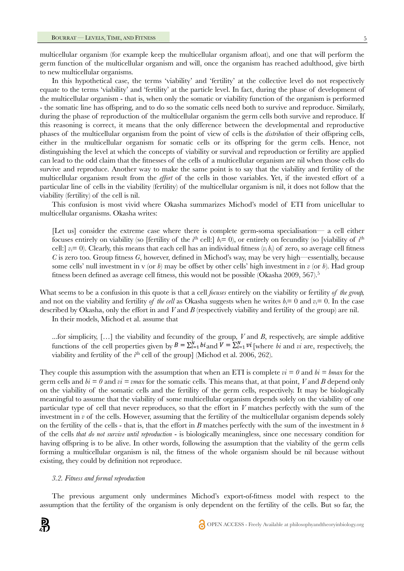multicellular organism (for example keep the multicellular organism afloat), and one that will perform the germ function of the multicellular organism and will, once the organism has reached adulthood, give birth to new multicellular organisms.

In this hypothetical case, the terms 'viability' and 'fertility' at the collective level do not respectively equate to the terms 'viability' and 'fertility' at the particle level. In fact, during the phase of development of the multicellular organism - that is, when only the somatic or viability function of the organism is performed - the somatic line has offspring, and to do so the somatic cells need both to survive and reproduce. Similarly, during the phase of reproduction of the multicellular organism the germ cells both survive and reproduce. If this reasoning is correct, it means that the only difference between the developmental and reproductive phases of the multicellular organism from the point of view of cells is the *distribution* of their offspring cells, either in the multicellular organism for somatic cells or its offspring for the germ cells. Hence, not distinguishing the level at which the concepts of viability or survival and reproduction or fertility are applied can lead to the odd claim that the fitnesses of the cells of a multicellular organism are nil when those cells do survive and reproduce. Another way to make the same point is to say that the viability and fertility of the multicellular organism result from the *effort* of the cells in those variables. Yet, if the invested effort of a particular line of cells in the viability (fertility) of the multicellular organism is nil, it does not follow that the viability (fertility) of the cell is nil.

This confusion is most vivid where Okasha summarizes Michod's model of ETI from unicellular to multicellular organisms. Okasha writes:

[Let us] consider the extreme case where there is complete germ-soma specialisation— a cell either focuses entirely on viability (so [fertility of the  $i^{\text{th}}$  cell:]  $b_i = 0$ ), or entirely on fecundity (so [viability of  $i^{\text{th}}$ cell:  $v_i = 0$ ). Clearly, this means that each cell has an individual fitness  $(v_i b_i)$  of zero, so average cell fitness *C* is zero too. Group fitness *G*, however, defined in Michod's way, may be very high—essentially, because some cells' null investment in v (or *b*) may be offset by other cells' high investment in *v* (or *b*). Had group fitness been defined as average cell fitness, this would not be possible (Okasha 2009, 567).5

What seems to be a confusion in this quote is that a cell *focuses* entirely on the viability or fertility *of the group,* and not on the viability and fertility *of the cell* as Okasha suggests when he writes  $b_i = 0$  and  $v_i = 0$ . In the case described by Okasha, only the effort in and *V* and *B* (respectively viability and fertility of the group) are nil. In their models, Michod et al. assume that

...for simplicity, […] the viability and fecundity of the group, *V* and *B*, respectively, are simple additive functions of the cell properties given by  $B = \sum_{i=1}^{N} bi$  and  $V = \sum_{i=1}^{N} vi$  [where *bi* and *vi* are, respectively, the viability and fertility of the *i*<sup>th</sup> cell of the group] (Michod et al. 2006, 262).

They couple this assumption with the assumption that when an ETI is complete  $vi = 0$  and  $bi = bmax$  for the germ cells and  $bi = 0$  and  $vi = vmax$  for the somatic cells. This means that, at that point, *V* and *B* depend only on the viability of the somatic cells and the fertility of the germ cells, respectively. It may be biologically meaningful to assume that the viability of some multicellular organism depends solely on the viability of one particular type of cell that never reproduces, so that the effort in *V* matches perfectly with the sum of the investment in *v* of the cells. However, assuming that the fertility of the multicellular organism depends solely on the fertility of the cells - that is, that the effort in *B* matches perfectly with the sum of the investment in *b* of the cells *that do not survive until reproduction* - is biologically meaningless, since one necessary condition for having offspring is to be alive. In other words, following the assumption that the viability of the germ cells forming a multicellular organism is nil, the fitness of the whole organism should be nil because without existing, they could by definition not reproduce.

## *3.2. Fitness and formal reproduction*

The previous argument only undermines Michod's export-of-fitness model with respect to the assumption that the fertility of the organism is only dependent on the fertility of the cells. But so far, the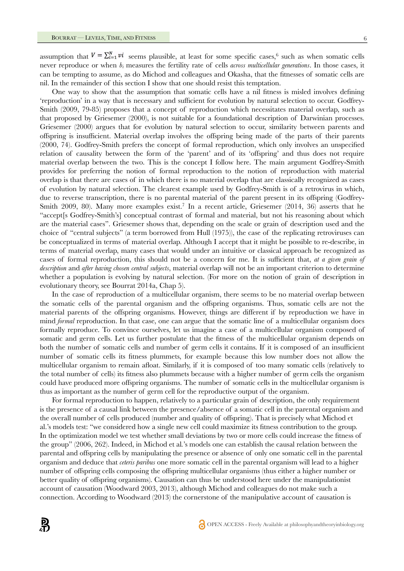assumption that  $V = \sum_{i=1}^{N} vi$  seems plausible, at least for some specific cases,<sup>6</sup> such as when somatic cells never reproduce or when *bi* measures the fertility rate of cells *across multicellular generations*. In those cases, it can be tempting to assume, as do Michod and colleagues and Okasha, that the fitnesses of somatic cells are nil. In the remainder of this section I show that one should resist this temptation.

One way to show that the assumption that somatic cells have a nil fitness is misled involves defining 'reproduction' in a way that is necessary and sufficient for evolution by natural selection to occur. Godfrey-Smith (2009, 79-85) proposes that a concept of reproduction which necessitates material overlap, such as that proposed by Griesemer (2000), is not suitable for a foundational description of Darwinian processes. Griesemer (2000) argues that for evolution by natural selection to occur, similarity between parents and offspring is insufficient. Material overlap involves the offspring being made of the parts of their parents (2000, 74). Godfrey-Smith prefers the concept of formal reproduction, which only involves an unspecified relation of causality between the form of the 'parent' and of its 'offspring' and thus does not require material overlap between the two. This is the concept I follow here. The main argument Godfrey-Smith provides for preferring the notion of formal reproduction to the notion of reproduction with material overlap is that there are cases of in which there is no material overlap that are classically recognized as cases of evolution by natural selection. The clearest example used by Godfrey-Smith is of a retrovirus in which, due to reverse transcription, there is no parental material of the parent present in its offspring (Godfrey-Smith 2009, 80). Many more examples exist.<sup>7</sup> In a recent article, Griesemer (2014, 36) asserts that he "accept[s Godfrey-Smith's] conceptual contrast of formal and material, but not his reasoning about which are the material cases". Griesemer shows that, depending on the scale or grain of description used and the choice of "central subjects" (a term borrowed from Hull (1975)), the case of the replicating retroviruses can be conceptualized in terms of material overlap. Although I accept that it might be possible to re-describe, in terms of material overlap, many cases that would under an intuitive or classical approach be recognized as cases of formal reproduction, this should not be a concern for me. It is sufficient that, *at a given grain of description* and *after having chosen central subjects*, material overlap will not be an important criterion to determine whether a population is evolving by natural selection. (For more on the notion of grain of description in evolutionary theory, see Bourrat 2014a, Chap 5).

In the case of reproduction of a multicellular organism, there seems to be no material overlap between the somatic cells of the parental organism and the offspring organisms. Thus, somatic cells are not the material parents of the offspring organisms. However, things are different if by reproduction we have in mind *formal* reproduction. In that case, one can argue that the somatic line of a multicellular organism does formally reproduce. To convince ourselves, let us imagine a case of a multicellular organism composed of somatic and germ cells. Let us further postulate that the fitness of the multicellular organism depends on both the number of somatic cells and number of germ cells it contains. If it is composed of an insufficient number of somatic cells its fitness plummets, for example because this low number does not allow the multicellular organism to remain afloat. Similarly, if it is composed of too many somatic cells (relatively to the total number of cells) its fitness also plummets because with a higher number of germ cells the organism could have produced more offspring organisms. The number of somatic cells in the multicellular organism is thus as important as the number of germ cell for the reproductive output of the organism.

For formal reproduction to happen, relatively to a particular grain of description, the only requirement is the presence of a causal link between the presence/absence of a somatic cell in the parental organism and the overall number of cells produced (number and quality of offspring). That is precisely what Michod et al.'s models test: "we considered how a single new cell could maximize its fitness contribution to the group. In the optimization model we test whether small deviations by two or more cells could increase the fitness of the group" (2006, 262). Indeed, in Michod et al*.*'s models one can establish the causal relation between the parental and offspring cells by manipulating the presence or absence of only one somatic cell in the parental organism and deduce that *ceteris paribus* one more somatic cell in the parental organism will lead to a higher number of offspring cells composing the offspring multicellular organisms (thus either a higher number or better quality of offspring organisms). Causation can thus be understood here under the manipulationist account of causation (Woodward 2003, 2013), although Michod and colleagues do not make such a connection. According to Woodward (2013) the cornerstone of the manipulative account of causation is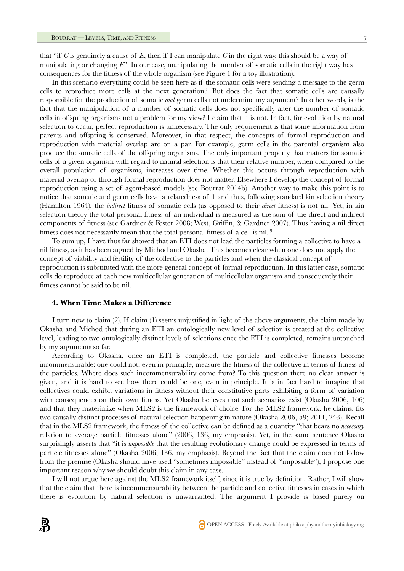that "if *C* is genuinely a cause of *E*, then if I can manipulate *C* in the right way, this should be a way of manipulating or changing *E*". In our case, manipulating the number of somatic cells in the right way has consequences for the fitness of the whole organism (see Figure 1 for a toy illustration).

In this scenario everything could be seen here as if the somatic cells were sending a message to the germ cells to reproduce more cells at the next generation.8 But does the fact that somatic cells are causally responsible for the production of somatic *and* germ cells not undermine my argument? In other words, is the fact that the manipulation of a number of somatic cells does not specifically alter the number of somatic cells in offspring organisms not a problem for my view? I claim that it is not. In fact, for evolution by natural selection to occur, perfect reproduction is unnecessary. The only requirement is that some information from parents and offspring is conserved. Moreover, in that respect, the concepts of formal reproduction and reproduction with material overlap are on a par. For example, germ cells in the parental organism also produce the somatic cells of the offspring organisms. The only important property that matters for somatic cells of a given organism with regard to natural selection is that their relative number, when compared to the overall population of organisms, increases over time. Whether this occurs through reproduction with material overlap or through formal reproduction does not matter. Elsewhere I develop the concept of formal reproduction using a set of agent-based models (see Bourrat 2014b). Another way to make this point is to notice that somatic and germ cells have a relatedness of 1 and thus, following standard kin selection theory (Hamilton 1964), the *indirect* fitness of somatic cells (as opposed to their *direct* fitness) is not nil. Yet, in kin selection theory the total personal fitness of an individual is measured as the sum of the direct and indirect components of fitness (see Gardner & Foster 2008; West, Griffin, & Gardner 2007). Thus having a nil direct fitness does not necessarily mean that the total personal fitness of a cell is nil. 9

To sum up, I have thus far showed that an ETI does not lead the particles forming a collective to have a nil fitness, as it has been argued by Michod and Okasha. This becomes clear when one does not apply the concept of viability and fertility of the collective to the particles and when the classical concept of reproduction is substituted with the more general concept of formal reproduction. In this latter case, somatic cells do reproduce at each new multicellular generation of multicellular organism and consequently their fitness cannot be said to be nil.

#### **4. When Time Makes a Difference**

I turn now to claim (2). If claim (1) seems unjustified in light of the above arguments, the claim made by Okasha and Michod that during an ETI an ontologically new level of selection is created at the collective level, leading to two ontologically distinct levels of selections once the ETI is completed, remains untouched by my arguments so far.

According to Okasha, once an ETI is completed, the particle and collective fitnesses become incommensurable: one could not, even in principle, measure the fitness of the collective in terms of fitness of the particles. Where does such incommensurability come from? To this question there no clear answer is given, and it is hard to see how there could be one, even in principle. It is in fact hard to imagine that collectives could exhibit variations in fitness without their constitutive parts exhibiting a form of variation with consequences on their own fitness. Yet Okasha believes that such scenarios exist (Okasha 2006, 106) and that they materialize when MLS2 is the framework of choice. For the MLS2 framework, he claims, fits two causally distinct processes of natural selection happening in nature (Okasha 2006, 59; 2011, 243). Recall that in the MLS2 framework, the fitness of the collective can be defined as a quantity "that bears no *necessary* relation to average particle fitnesses alone" (2006, 136, my emphasis). Yet, in the same sentence Okasha surprisingly asserts that "it is *impossible* that the resulting evolutionary change could be expressed in terms of particle fitnesses alone" (Okasha 2006, 136, my emphasis). Beyond the fact that the claim does not follow from the premise (Okasha should have used "sometimes impossible" instead of "impossible"), I propose one important reason why we should doubt this claim in any case.

I will not argue here against the MLS2 framework itself, since it is true by definition. Rather, I will show that the claim that there is incommensurability between the particle and collective fitnesses in cases in which there is evolution by natural selection is unwarranted. The argument I provide is based purely on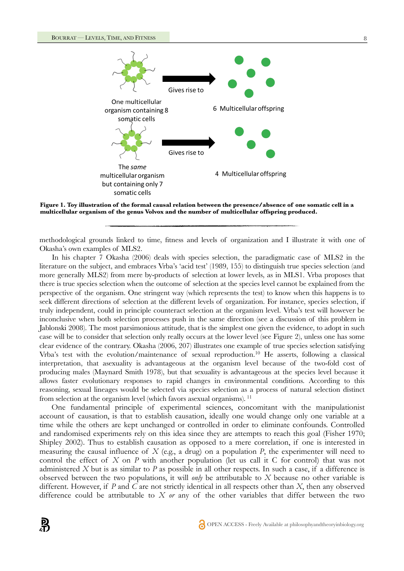

**Figure 1. Toy illustration of the formal causal relation between the presence/absence of one somatic cell in a multicellular organism of the genus Volvox and the number of multicellular offspring produced.**

methodological grounds linked to time, fitness and levels of organization and I illustrate it with one of Okasha's own examples of MLS2.

In his chapter 7 Okasha (2006) deals with species selection, the paradigmatic case of MLS2 in the literature on the subject, and embraces Vrba's 'acid test' (1989, 155) to distinguish true species selection (and more generally MLS2) from mere by-products of selection at lower levels, as in MLS1. Vrba proposes that there is true species selection when the outcome of selection at the species level cannot be explained from the perspective of the organism. One stringent way (which represents the test) to know when this happens is to seek different directions of selection at the different levels of organization. For instance, species selection, if truly independent, could in principle counteract selection at the organism level. Vrba's test will however be inconclusive when both selection processes push in the same direction (see a discussion of this problem in Jablonski 2008). The most parsimonious attitude, that is the simplest one given the evidence, to adopt in such case will be to consider that selection only really occurs at the lower level (see Figure 2), unless one has some clear evidence of the contrary. Okasha (2006, 207) illustrates one example of true species selection satisfying Vrba's test with the evolution/maintenance of sexual reproduction.10 He asserts, following a classical interpretation, that asexuality is advantageous at the organism level because of the two-fold cost of producing males (Maynard Smith 1978), but that sexuality is advantageous at the species level because it allows faster evolutionary responses to rapid changes in environmental conditions. According to this reasoning, sexual lineages would be selected via species selection as a process of natural selection distinct from selection at the organism level (which favors asexual organisms). 11

One fundamental principle of experimental sciences, concomitant with the manipulationist account of causation, is that to establish causation, ideally one would change only one variable at a time while the others are kept unchanged or controlled in order to eliminate confounds. Controlled and randomised experiments rely on this idea since they are attempts to reach this goal (Fisher 1970; Shipley 2002). Thus to establish causation as opposed to a mere correlation, if one is interested in measuring the causal influence of *X* (e.g., a drug) on a population *P*, the experimenter will need to control the effect of *X* on *P* with another population (let us call it C for control) that was not administered *X* but is as similar to *P* as possible in all other respects. In such a case, if a difference is observed between the two populations, it will *only* be attributable to *X* because no other variable is different. However, if *P* and *C* are not strictly identical in all respects other than *X*, then any observed difference could be attributable to *X or* any of the other variables that differ between the two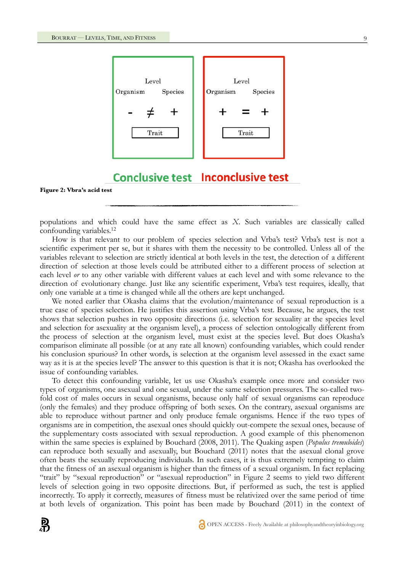

# **Conclusive test Inconclusive test**

#### **Figure 2: Vbra's acid test**

populations and which could have the same effect as *X*. Such variables are classically called confounding variables.12

How is that relevant to our problem of species selection and Vrba's test? Vrba's test is not a scientific experiment per se, but it shares with them the necessity to be controlled. Unless all of the variables relevant to selection are strictly identical at both levels in the test, the detection of a different direction of selection at those levels could be attributed either to a different process of selection at each level *or* to any other variable with different values at each level and with some relevance to the direction of evolutionary change. Just like any scientific experiment, Vrba's test requires, ideally, that only one variable at a time is changed while all the others are kept unchanged.

We noted earlier that Okasha claims that the evolution/maintenance of sexual reproduction is a true case of species selection. He justifies this assertion using Vrba's test. Because, he argues, the test shows that selection pushes in two opposite directions (i.e. selection for sexuality at the species level and selection for asexuality at the organism level), a process of selection ontologically different from the process of selection at the organism level, must exist at the species level. But does Okasha's comparison eliminate all possible (or at any rate all known) confounding variables, which could render his conclusion spurious? In other words, is selection at the organism level assessed in the exact same way as it is at the species level? The answer to this question is that it is not; Okasha has overlooked the issue of confounding variables.

To detect this confounding variable, let us use Okasha's example once more and consider two types of organisms, one asexual and one sexual, under the same selection pressures. The so-called twofold cost of males occurs in sexual organisms, because only half of sexual organisms can reproduce (only the females) and they produce offspring of both sexes. On the contrary, asexual organisms are able to reproduce without partner and only produce female organisms. Hence if the two types of organisms are in competition, the asexual ones should quickly out-compete the sexual ones, because of the supplementary costs associated with sexual reproduction. A good example of this phenomenon within the same species is explained by Bouchard (2008, 2011). The Quaking aspen (*Populus tremuloides*) can reproduce both sexually and asexually, but Bouchard (2011) notes that the asexual clonal grove often beats the sexually reproducing individuals. In such cases, it is thus extremely tempting to claim that the fitness of an asexual organism is higher than the fitness of a sexual organism. In fact replacing "trait" by "sexual reproduction" or "asexual reproduction" in Figure 2 seems to yield two different levels of selection going in two opposite directions. But, if performed as such, the test is applied incorrectly. To apply it correctly, measures of fitness must be relativized over the same period of time at both levels of organization. This point has been made by Bouchard (2011) in the context of

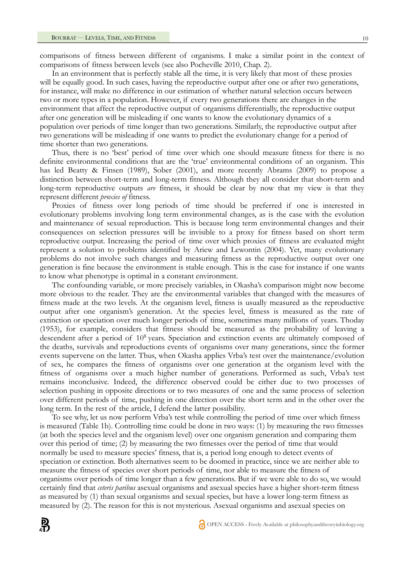comparisons of fitness between different of organisms. I make a similar point in the context of comparisons of fitness between levels (see also Pocheville 2010, Chap. 2).

In an environment that is perfectly stable all the time, it is very likely that most of these proxies will be equally good. In such cases, having the reproductive output after one or after two generations, for instance, will make no difference in our estimation of whether natural selection occurs between two or more types in a population. However, if every two generations there are changes in the environment that affect the reproductive output of organisms differentially, the reproductive output after one generation will be misleading if one wants to know the evolutionary dynamics of a population over periods of time longer than two generations. Similarly, the reproductive output after two generations will be misleading if one wants to predict the evolutionary change for a period of time shorter than two generations.

Thus, there is no 'best' period of time over which one should measure fitness for there is no definite environmental conditions that are the 'true' environmental conditions of an organism. This has led Beatty & Finsen (1989), Sober (2001), and more recently Abrams (2009) to propose a distinction between short-term and long-term fitness. Although they all consider that short-term and long-term reproductive outputs *are* fitness, it should be clear by now that my view is that they represent different *proxies of* fitness.

Proxies of fitness over long periods of time should be preferred if one is interested in evolutionary problems involving long term environmental changes, as is the case with the evolution and maintenance of sexual reproduction. This is because long term environmental changes and their consequences on selection pressures will be invisible to a proxy for fitness based on short term reproductive output. Increasing the period of time over which proxies of fitness are evaluated might represent a solution to problems identified by Ariew and Lewontin (2004). Yet, many evolutionary problems do not involve such changes and measuring fitness as the reproductive output over one generation is fine because the environment is stable enough. This is the case for instance if one wants to know what phenotype is optimal in a constant environment.

The confounding variable, or more precisely variables, in Okasha's comparison might now become more obvious to the reader. They are the environmental variables that changed with the measures of fitness made at the two levels. At the organism level, fitness is usually measured as the reproductive output after one organism's generation. At the species level, fitness is measured as the rate of extinction or speciation over much longer periods of time, sometimes many millions of years. Thoday (1953), for example, considers that fitness should be measured as the probability of leaving a descendent after a period of  $10^8$  years. Speciation and extinction events are ultimately composed of the deaths, survivals and reproductions events of organisms over many generations, since the former events supervene on the latter. Thus, when Okasha applies Vrba's test over the maintenance/evolution of sex, he compares the fitness of organisms over one generation at the organism level with the fitness of organisms over a much higher number of generations. Performed as such, Vrba's test remains inconclusive. Indeed, the difference observed could be either due to two processes of selection pushing in opposite directions or to two measures of one and the same process of selection over different periods of time, pushing in one direction over the short term and in the other over the long term. In the rest of the article, I defend the latter possibility.

To see why, let us now perform Vrba's test while controlling the period of time over which fitness is measured (Table 1b). Controlling time could be done in two ways: (1) by measuring the two fitnesses (at both the species level and the organism level) over one organism generation and comparing them over this period of time; (2) by measuring the two fitnesses over the period of time that would normally be used to measure species' fitness, that is, a period long enough to detect events of speciation or extinction. Both alternatives seem to be doomed in practice, since we are neither able to measure the fitness of species over short periods of time, nor able to measure the fitness of organisms over periods of time longer than a few generations. But if we were able to do so, we would certainly find that *ceteris paribus* asexual organisms and asexual species have a higher short-term fitness as measured by (1) than sexual organisms and sexual species, but have a lower long-term fitness as measured by (2). The reason for this is not mysterious. Asexual organisms and asexual species on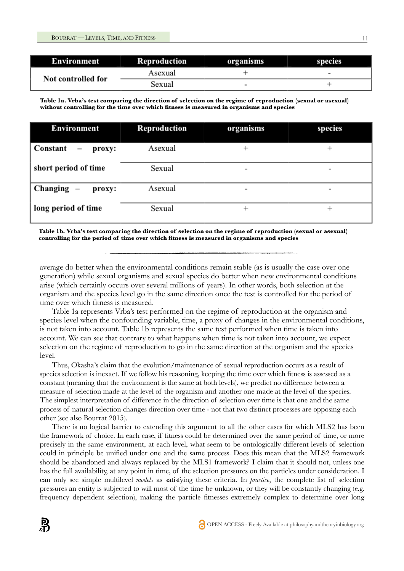| Environment        | Reproduction | organisms | species |
|--------------------|--------------|-----------|---------|
| Not controlled for | Asexual      |           | -       |
|                    | Sexual       |           |         |

**Table 1a. Vrba's test comparing the direction of selection on the regime of reproduction (sexual or asexual) without controlling for the time over which fitness is measured in organisms and species**

| Environment                                    | Reproduction | organisms                | species                      |
|------------------------------------------------|--------------|--------------------------|------------------------------|
| Constant<br>proxy:<br>$\overline{\phantom{0}}$ | Asexual      |                          |                              |
| short period of time                           | Sexual       | $\overline{\phantom{a}}$ | ۰                            |
| Changing<br>$\overline{\phantom{a}}$<br>proxy: | Asexual      | $\overline{\phantom{0}}$ | $\qquad \qquad \blacksquare$ |
| long period of time                            | Sexual       | ÷                        |                              |

**Table 1b. Vrba's test comparing the direction of selection on the regime of reproduction (sexual or asexual) controlling for the period of time over which fitness is measured in organisms and species** 

average do better when the environmental conditions remain stable (as is usually the case over one generation) while sexual organisms and sexual species do better when new environmental conditions arise (which certainly occurs over several millions of years). In other words, both selection at the organism and the species level go in the same direction once the test is controlled for the period of time over which fitness is measured.

Table 1a represents Vrba's test performed on the regime of reproduction at the organism and species level when the confounding variable, time, a proxy of changes in the environmental conditions, is not taken into account. Table 1b represents the same test performed when time is taken into account. We can see that contrary to what happens when time is not taken into account, we expect selection on the regime of reproduction to go in the same direction at the organism and the species level.

Thus, Okasha's claim that the evolution/maintenance of sexual reproduction occurs as a result of species selection is inexact. If we follow his reasoning, keeping the time over which fitness is assessed as a constant (meaning that the environment is the same at both levels), we predict no difference between a measure of selection made at the level of the organism and another one made at the level of the species. The simplest interpretation of difference in the direction of selection over time is that one and the same process of natural selection changes direction over time - not that two distinct processes are opposing each other (see also Bourrat 2015).

There is no logical barrier to extending this argument to all the other cases for which MLS2 has been the framework of choice. In each case, if fitness could be determined over the same period of time, or more precisely in the same environment, at each level, what seem to be ontologically different levels of selection could in principle be unified under one and the same process. Does this mean that the MLS2 framework should be abandoned and always replaced by the MLS1 framework? I claim that it should not, unless one has the full availability, at any point in time, of the selection pressures on the particles under consideration. I can only see simple multilevel *models* as satisfying these criteria. In *practice*, the complete list of selection pressures an entity is subjected to will most of the time be unknown, or they will be constantly changing (e.g. frequency dependent selection), making the particle fitnesses extremely complex to determine over long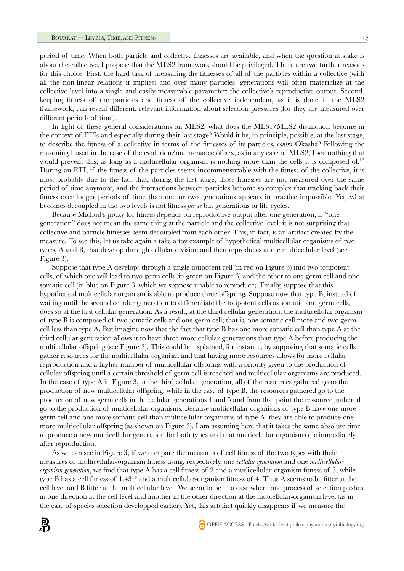period of time. When both particle and collective fitnesses are available, and when the question at stake is about the collective, I propose that the MLS2 framework should be privileged. There are two further reasons for this choice. First, the hard task of measuring the fitnesses of all of the particles within a collective (with all the non-linear relations it implies) and over many particles' generations will often materialize at the collective level into a single and easily measurable parameter: the collective's reproductive output. Second, keeping fitness of the particles and fitness of the collective independent, as it is done in the MLS2 framework, can reveal different, relevant information about selection pressures (for they are measured over

different periods of time). In light of these general considerations on MLS2, what does the MLS1/MLS2 distinction become in the context of ETIs and especially during their last stage? Would it be, in principle, possible, at the last stage, to describe the fitness of a collective in terms of the fitnesses of its particles, *contra* Okasha? Following the reasoning I used in the case of the evolution/maintenance of sex, as in any case of MLS2, I see nothing that would prevent this, as long as a multicellular organism is nothing more than the cells it is composed of.<sup>13</sup> During an ETI, if the fitness of the particles seems incommensurable with the fitness of the collective, it is most probably due to the fact that, during the last stage, those fitnesses are not measured over the same period of time anymore, and the interactions between particles become so complex that tracking back their fitness over longer periods of time than one or two generations appears in practice impossible. Yet, what becomes decoupled in the two levels is not fitness *per se* but generations or life cycles.

Because Michod's proxy for fitness depends on reproductive output after one generation, if "one generation" does not mean the same thing at the particle and the collective level, it is not surprising that collective and particle fitnesses seem decoupled from each other. This, in fact, is an artifact created by the measure. To see this, let us take again a take a toy example of hypothetical multicellular organisms of two types, A and B, that develop through cellular division and then reproduces at the multicellular level (see Figure 3).

Suppose that type A develops through a single totipotent cell (in red on Figure 3) into two totipotent cells, of which one will lead to two germ cells (in green on Figure 3) and the other to one germ cell and one somatic cell (in blue on Figure 3, which we suppose unable to reproduce). Finally, suppose that this hypothetical multicellular organism is able to produce three offspring. Suppose now that type B, instead of waiting until the second cellular generation to differentiate the totipotent cells as somatic and germ cells, does so at the first cellular generation. As a result, at the third cellular generation, the multicellular organism of type B is composed of two somatic cells and one germ cell; that is, one somatic cell more and two germ cell less than type A. But imagine now that the fact that type B has one more somatic cell than type A at the third cellular generation allows it to have three more cellular generations than type A before producing the multicellular offspring (see Figure 3). This could be explained, for instance, by supposing that somatic cells gather resources for the multicellular organism and that having more resources allows for more cellular reproduction and a higher number of multicellular offspring, with a priority given to the production of cellular offspring until a certain threshold of germ cell is reached and multicellular organisms are produced. In the case of type A in Figure 3, at the third cellular generation, all of the resources gathered go to the production of new multicellular offspring, while in the case of type B, the resources gathered go to the production of new germ cells in the cellular generations 4 and 5 and from that point the ressource gathered go to the production of multicellular organisms. Because multicellular organisms of type B have one more germ cell and one more somatic cell than multicellular organisms of type A, they are able to produce one more multicellular offspring (as shown on Figure 3). I am assuming here that it takes the same absolute time to produce a new multicellular generation for both types and that multicellular organisms die immediately after reproduction.

As we can see in Figure 3, if we compare the measures of cell fitness of the two types with their measures of multicellular-organism fitness using, respectively, one *cellular generation* and one *multicellularorganism generation*, we find that type A has a cell fitness of 2 and a mutlicellular-organism fitness of 3, while type B has a cell fitness of 1.4314 and a multicellular-organism fitness of 4. Thus A seems to be fitter at the cell level and B fitter at the multicellular level. We seem to be in a case where one process of selection pushes in one direction at the cell level and another in the other direction at the mutcellular-organism level (as in the case of species selection developped earlier). Yet, this artefact quickly disappears if we measure the

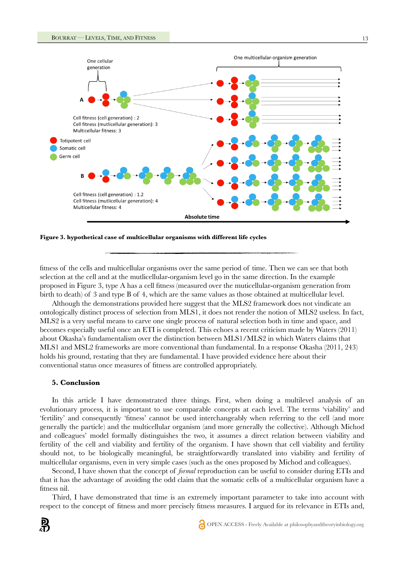

**Figure 3. hypothetical case of multicellular organisms with different life cycles**

fitness of the cells and multicellular organisms over the same period of time. Then we can see that both selection at the cell and at the mutlicellular-organism level go in the same direction. In the example proposed in Figure 3, type A has a cell fitness (measured over the muticellular-organism generation from birth to death) of 3 and type B of 4, which are the same values as those obtained at multicellular level.

Although the demonstrations provided here suggest that the MLS2 framework does not vindicate an ontologically distinct process of selection from MLS1, it does not render the notion of MLS2 useless. In fact, MLS2 is a very useful means to carve one single process of natural selection both in time and space, and becomes especially useful once an ETI is completed. This echoes a recent criticism made by Waters (2011) about Okasha's fundamentalism over the distinction between MLS1/MLS2 in which Waters claims that MLS1 and MSL2 frameworks are more conventional than fundamental. In a response Okasha (2011, 243) holds his ground, restating that they are fundamental. I have provided evidence here about their conventional status once measures of fitness are controlled appropriately.

## **5. Conclusion**

界

In this article I have demonstrated three things. First, when doing a multilevel analysis of an evolutionary process, it is important to use comparable concepts at each level. The terms 'viability' and 'fertility' and consequently 'fitness' cannot be used interchangeably when referring to the cell (and more generally the particle) and the multicellular organism (and more generally the collective). Although Michod and colleagues' model formally distinguishes the two, it assumes a direct relation between viability and fertility of the cell and viability and fertility of the organism. I have shown that cell viability and fertility should not, to be biologically meaningful, be straightforwardly translated into viability and fertility of multicellular organisms, even in very simple cases (such as the ones proposed by Michod and colleagues).

Second, I have shown that the concept of *formal* reproduction can be useful to consider during ETIs and that it has the advantage of avoiding the odd claim that the somatic cells of a multicellular organism have a fitness nil.

Third, I have demonstrated that time is an extremely important parameter to take into account with respect to the concept of fitness and more precisely fitness measures. I argued for its relevance in ETIs and,

![](_page_12_Picture_9.jpeg)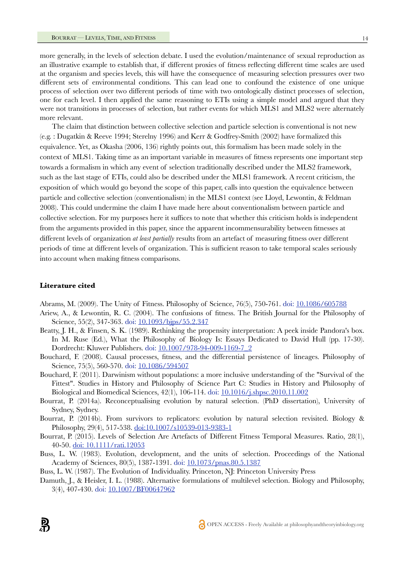more generally, in the levels of selection debate. I used the evolution/maintenance of sexual reproduction as an illustrative example to establish that, if different proxies of fitness reflecting different time scales are used at the organism and species levels, this will have the consequence of measuring selection pressures over two different sets of environmental conditions. This can lead one to confound the existence of one unique process of selection over two different periods of time with two ontologically distinct processes of selection, one for each level. I then applied the same reasoning to ETIs using a simple model and argued that they were not transitions in processes of selection, but rather events for which MLS1 and MLS2 were alternately more relevant.

The claim that distinction between collective selection and particle selection is conventional is not new (e.g. : Dugatkin & Reeve 1994; Sterelny 1996) and Kerr & Godfrey-Smith (2002) have formalized this equivalence. Yet, as Okasha (2006, 136) rightly points out, this formalism has been made solely in the context of MLS1. Taking time as an important variable in measures of fitness represents one important step towards a formalism in which any event of selection traditionally described under the MLS2 framework, such as the last stage of ETIs, could also be described under the MLS1 framework. A recent criticism, the exposition of which would go beyond the scope of this paper, calls into question the equivalence between particle and collective selection (conventionalism) in the MLS1 context (see Lloyd, Lewontin, & Feldman 2008). This could undermine the claim I have made here about conventionalism between particle and collective selection. For my purposes here it suffices to note that whether this criticism holds is independent from the arguments provided in this paper, since the apparent incommensurability between fitnesses at different levels of organization *at least partially* results from an artefact of measuring fitness over different periods of time at different levels of organization. This is sufficient reason to take temporal scales seriously into account when making fitness comparisons.

## **Literature cited**

Abrams, M. (2009). The Unity of Fitness. Philosophy of Science, 76(5), 750-761. doi: [10.1086/605788](http://dx.doi.org/10.1086/605788)

- Ariew, A., & Lewontin, R. C. (2004). The confusions of fitness. The British Journal for the Philosophy of Science, 55(2), 347-363. doi: 10.1093/bips/55.2.347
- Beatty, J. H., & Finsen, S. K. (1989). Rethinking the propensity interpretation: A peek inside Pandora's box. In M. Ruse (Ed.), What the Philosophy of Biology Is: Essays Dedicated to David Hull (pp. 17-30). Dordrecht: Kluwer Publishers. doi: [10.1007/978-94-009-1169-7\\_2](http://dx.doi.org/10.1007/978-94-009-1169-7_2)
- Bouchard, F. (2008). Causal processes, fitness, and the differential persistence of lineages. Philosophy of Science, 75(5), 560-570. doi: [10.1086/594507](http://dx.doi.org/10.1086/594507)
- Bouchard, F. (2011). Darwinism without populations: a more inclusive understanding of the "Survival of the Fittest". Studies in History and Philosophy of Science Part C: Studies in History and Philosophy of Biological and Biomedical Sciences, 42(1), 106-114. doi: [10.1016/j.shpsc.2010.11.002](http://dx.doi.org/10.1016/j.shpsc.2010.11.002)
- Bourrat, P. (2014a). Reconceptualising evolution by natural selection. (PhD dissertation), University of Sydney, Sydney.
- Bourrat, P. (2014b). From survivors to replicators: evolution by natural selection revisited. Biology & Philosophy, 29(4), 517-538. [doi:10.1007/s10539-013-9383-1](http://dx.doi.org/10.1007/s10539-013-9383-1)
- Bourrat, P. (2015). Levels of Selection Are Artefacts of Different Fitness Temporal Measures. Ratio, 28(1), 40-50. [doi: 10.1111/rati.12053](http://dx.doi.org/10.1111/rati.12053)
- Buss, L. W. (1983). Evolution, development, and the units of selection. Proceedings of the National Academy of Sciences, 80(5), 1387-1391. doi: [10.1073/pnas.80.5.1387](http://dx.doi.org/10.1073/pnas.80.5.1387)
- Buss, L. W. (1987). The Evolution of Individuality. Princeton, NJ: Princeton University Press
- Damuth, J., & Heisler, I. L. (1988). Alternative formulations of multilevel selection. Biology and Philosophy, 3(4), 407-430. doi: [10.1007/BF00647962](http://dx.doi.org/10.1007/BF00647962)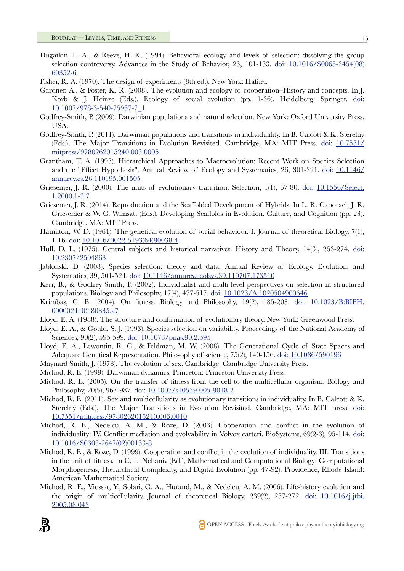- Dugatkin, L. A., & Reeve, H. K. (1994). Behavioral ecology and levels of selection: dissolving the group selection controversy. Advances in the Study of Behavior, 23, 101-133. doi: [10.1016/S0065-3454\(08\)](http://dx.doi.org/10.1016/S0065-3454(08)60352-6) [60352-6](http://dx.doi.org/10.1016/S0065-3454(08)60352-6)
- Fisher, R. A. (1970). The design of experiments (8th ed.). New York: Hafner.
- Gardner, A., & Foster, K. R. (2008). The evolution and ecology of cooperation–History and concepts. In J. Korb & J. Heinze (Eds.), Ecology of social evolution (pp. 1-36). Heidelberg: Springer. [doi:](http://dx.doi.org/10.1007/978-3-540-75957-7_1) [10.1007/978-3-540-75957-7\\_1](http://dx.doi.org/10.1007/978-3-540-75957-7_1)
- Godfrey-Smith, P. (2009). Darwinian populations and natural selection. New York: Oxford University Press, USA.
- Godfrey-Smith, P. (2011). Darwinian populations and transitions in individuality. In B. Calcott & K. Sterelny (Eds.), The Major Transitions in Evolution Revisited. Cambridge, MA: MIT Press. doi: [10.7551/](http://dx.doi.org/10.7551/mitpress/9780262015240.003.0005) [mitpress/9780262015240.003.0005](http://dx.doi.org/10.7551/mitpress/9780262015240.003.0005)
- Grantham, T. A. (1995). Hierarchical Approaches to Macroevolution: Recent Work on Species Selection and the "Effect Hypothesis". Annual Review of Ecology and Systematics, 26, 301-321. doi: [10.1146/](http://dx.doi.org/10.1146/annurev.es.26.110195.001505) [annurev.es.26.110195.001505](http://dx.doi.org/10.1146/annurev.es.26.110195.001505)
- Griesemer, J. R. (2000). The units of evolutionary transition. Selection, 1(1), 67-80. doi: [10.1556/Select.](http://dx.doi.org/10.1556/Select.1.2000.1-3.7) [1.2000.1-3.7](http://dx.doi.org/10.1556/Select.1.2000.1-3.7)
- Griesemer, J. R. (2014). Reproduction and the Scaffolded Development of Hybrids. In L. R. Caporael, J. R. Griesemer & W. C. Wimsatt (Eds.), Developing Scaffolds in Evolution, Culture, and Cognition (pp. 23). Cambridge, MA: MIT Press.
- Hamilton, W. D. (1964). The genetical evolution of social behaviour. I. Journal of theoretical Biology, 7(1), 1-16. doi: [10.1016/0022-5193\(64\)90038-4](http://dx.doi.org/10.1016/0022-5193(64)90038-4)
- Hull, D. L. (1975). Central subjects and historical narratives. History and Theory, 14(3), 253-274. [doi:](http://dx.doi.org/10.2307/2504863) [10.2307/2504863](http://dx.doi.org/10.2307/2504863)
- Jablonski, D. (2008). Species selection: theory and data. Annual Review of Ecology, Evolution, and Systematics, 39, 501-524. doi: [10.1146/annurev.ecolsys.39.110707.173510](http://dx.doi.org/10.1146/annurev.ecolsys.39.110707.173510)
- Kerr, B., & Godfrey-Smith, P. (2002). Individualist and multi-level perspectives on selection in structured populations. Biology and Philosophy, 17(4), 477-517. doi: [10.1023/A:1020504900646](http://dx.doi.org/10.1023/A:1020504900646)
- Krimbas, C. B. (2004). On fitness. Biology and Philosophy, 19(2), 185-203. doi: [10.1023/B:BIPH.](http://dx.doi.org/10.1023/B:BIPH.0000024402.80835.a7) [0000024402.80835.a7](http://dx.doi.org/10.1023/B:BIPH.0000024402.80835.a7)
- Lloyd, E. A. (1988). The structure and confirmation of evolutionary theory. New York: Greenwood Press.
- Lloyd, E. A., & Gould, S. J. (1993). Species selection on variability. Proceedings of the National Academy of Sciences, 90(2), 595-599. doi: [10.1073/pnas.90.2.595](http://dx.doi.org/10.1073/pnas.90.2.595)
- Lloyd, E. A., Lewontin, R. C., & Feldman, M. W. (2008). The Generational Cycle of State Spaces and Adequate Genetical Representation. Philosophy of science, 75(2), 140-156. doi: [10.1086/590196](http://dx.doi.org/10.1086/590196)
- Maynard Smith, J. (1978). The evolution of sex. Cambridge: Cambridge University Press.
- Michod, R. E. (1999). Darwinian dynamics. Princeton: Princeton University Press.
- Michod, R. E. (2005). On the transfer of fitness from the cell to the multicellular organism. Biology and Philosophy, 20(5), 967-987. doi: [10.1007/s10539-005-9018-2](http://dx.doi.org/10.1007/s10539-005-9018-2)
- Michod, R. E. (2011). Sex and multicellularity as evolutionary transitions in individuality. In B. Calcott & K. Sterelny (Eds.), The Major Transitions in Evolution Revisited. Cambridge, MA: MIT press. [doi:](http://dx.doi.org/10.7551/mitpress/9780262015240.003.0010) [10.7551/mitpress/9780262015240.003.0010](http://dx.doi.org/10.7551/mitpress/9780262015240.003.0010)
- Michod, R. E., Nedelcu, A. M., & Roze, D. (2003). Cooperation and conflict in the evolution of individuality: IV. Conflict mediation and evolvability in Volvox carteri. BioSystems, 69(2-3), 95-114. [doi:](http://dx.doi.org/10.1016/S0303-2647(02)00133-8) [10.1016/S0303-2647\(02\)00133-8](http://dx.doi.org/10.1016/S0303-2647(02)00133-8)
- Michod, R. E., & Roze, D. (1999). Cooperation and conflict in the evolution of individuality. III. Transitions in the unit of fitness. In C. L. Nehaniv (Ed.), Mathematical and Computational Biology: Computational Morphogenesis, Hierarchical Complexity, and Digital Evolution (pp. 47-92). Providence, Rhode Island: American Mathematical Society.
- Michod, R. E., Viossat, Y., Solari, C. A., Hurand, M., & Nedelcu, A. M. (2006). Life-history evolution and the origin of multicellularity. Journal of theoretical Biology, 239(2), 257-272. doi: [10.1016/j.jtbi.](http://dx.doi.org/10.1016/j.jtbi.2005.08.043) [2005.08.043](http://dx.doi.org/10.1016/j.jtbi.2005.08.043)

![](_page_14_Picture_26.jpeg)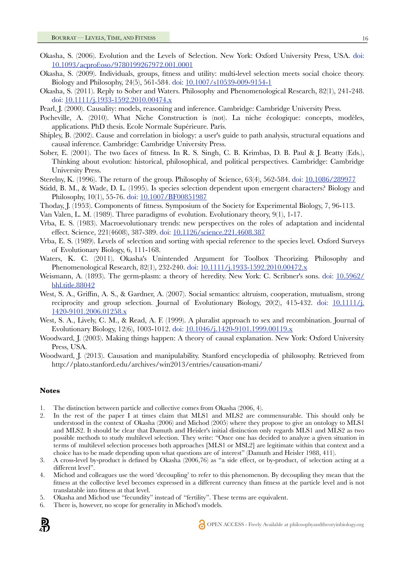- Okasha, S. (2006). Evolution and the Levels of Selection. New York: Oxford University Press, USA. [doi:](http://dx.doi.org/10.1093/acprof:oso/9780199267972.001.0001) [10.1093/acprof:oso/9780199267972.001.0001](http://dx.doi.org/10.1093/acprof:oso/9780199267972.001.0001)
- Okasha, S. (2009). Individuals, groups, fitness and utility: multi-level selection meets social choice theory. Biology and Philosophy, 24(5), 561-584. doi: [10.1007/s10539-009-9154-1](http://dx.doi.org/10.1007/s10539-009-9154-1)
- Okasha, S. (2011). Reply to Sober and Waters. Philosophy and Phenomenological Research, 82(1), 241-248. doi: [10.1111/j.1933-1592.2010.00474.x](http://dx.doi.org/10.1111/j.1933-1592.2010.00474.x)
- Pearl, J. (2000). Causality: models, reasoning and inference. Cambridge: Cambridge University Press.
- Pocheville, A. (2010). What Niche Construction is (not). La niche écologique: concepts, modèles, applications. PhD thesis. Ecole Normale Supérieure. Paris.
- Shipley, B. (2002). Cause and correlation in biology: a user's guide to path analysis, structural equations and causal inference. Cambridge: Cambridge University Press.
- Sober, E. (2001). The two faces of fitness. In R. S. Singh, C. B. Krimbas, D. B. Paul & J. Beatty (Eds.), Thinking about evolution: historical, philosophical, and political perspectives. Cambridge: Cambridge University Press.
- Sterelny, K. (1996). The return of the group. Philosophy of Science, 63(4), 562-584. doi: [10.1086/289977](http://dx.doi.org/10.1086/289977)
- Stidd, B. M., & Wade, D. L. (1995). Is species selection dependent upon emergent characters? Biology and Philosophy, 10(1), 55-76. doi: [10.1007/BF00851987](http://dx.doi.org/10.1007/BF00851987)
- Thoday, J. (1953). Components of fitness. Symposium of the Society for Experimental Biology, 7, 96-113.
- Van Valen, L. M. (1989). Three paradigms of evolution. Evolutionary theory, 9(1), 1-17.
- Vrba, E. S. (1983). Macroevolutionary trends: new perspectives on the roles of adaptation and incidental effect. Science, 221(4608), 387-389. doi: [10.1126/science.221.4608.387](http://dx.doi.org/10.1126/science.221.4608.387)
- Vrba, E. S. (1989). Levels of selection and sorting with special reference to the species level. Oxford Surveys of Evolutionary Biology, 6, 111-168.
- Waters, K. C. (2011). Okasha's Unintended Argument for Toolbox Theorizing. Philosophy and Phenomenological Research, 82(1), 232-240. doi: [10.1111/j.1933-1592.2010.00472.x](http://dx.doi.org/10.1111/j.1933-1592.2010.00472.x)
- Weismann, A. (1893). The germ-plasm: a theory of heredity. New York: C. Scribner's sons. doi: [10.5962/](http://dx.doi.org/10.5962/bhl.title.88042) [bhl.title.88042](http://dx.doi.org/10.5962/bhl.title.88042)
- West, S. A., Griffin, A. S., & Gardner, A. (2007). Social semantics: altruism, cooperation, mutualism, strong reciprocity and group selection. Journal of Evolutionary Biology, 20(2), 415-432. doi: [10.1111/j.](http://dx.doi.org/10.1111/j.1420-9101.2006.01258.x) [1420-9101.2006.01258.x](http://dx.doi.org/10.1111/j.1420-9101.2006.01258.x)
- West, S. A., Lively, C. M., & Read, A. F. (1999). A pluralist approach to sex and recombination. Journal of Evolutionary Biology, 12(6), 1003-1012. doi: [10.1046/j.1420-9101.1999.00119.x](http://dx.doi.org/10.1046/j.1420-9101.1999.00119.x)
- Woodward, J. (2003). Making things happen: A theory of causal explanation. New York: Oxford University Press, USA.
- Woodward, J. (2013). Causation and manipulability. Stanford encyclopedia of philosophy. Retrieved from <http://plato.stanford.edu/archives/win2013/entries/causation-mani/>

# **Notes**

- 1. The distinction between particle and collective comes from Okasha (2006, 4).
- 2. In the rest of the paper I at times claim that MLS1 and MLS2 are commensurable. This should only be understood in the context of Okasha (2006) and Michod (2005) where they propose to give an ontology to MLS1 and MLS2. It should be clear that Damuth and Heisler's initial distinction only regards MLS1 and MLS2 as two possible methods to study multilevel selection. They write: "Once one has decided to analyze a given situation in terms of multilevel selection processes both approaches [MLS1 or MSL2] are legitimate within that context and a choice has to be made depending upon what questions are of interest" (Damuth and Heisler 1988, 411).
- 3. A cross-level by-product is defined by Okasha (2006,76) as "a side effect, or by-product, of selection acting at a different level".
- 4. Michod and colleagues use the word 'decoupling' to refer to this phenomenon. By decoupling they mean that the fitness at the collective level becomes expressed in a different currency than fitness at the particle level and is not translatable into fitness at that level.
- 5. Okasha and Michod use "fecundity" instead of "fertility". These terms are equivalent.
- 6. There is, however, no scope for generality in Michod's models.

![](_page_15_Picture_27.jpeg)